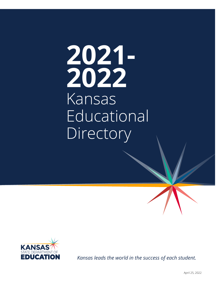# **2021-2022 Kansas Educational Directory 2021- 2022** Kansas Educational **Directory**



*Kansas leads the world in the success of each student.*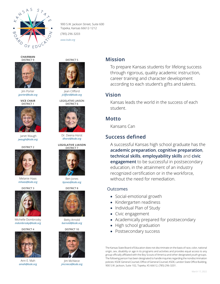

900 S.W. Jackson Street, Suite 600 Topeka, Kansas 66612-1212

(785) 296-3203

*www.ksde.org*

**CHAIRMAN** DISTRICT 9



Jim Porter *jporter@ksde.org*

**VICE CHAIR** DISTRICT 1



Janet Waugh *jwaugh@ksde.org*

DISTRICT 2



Melanie Haas *mhaas@ksde.org*

DISTRICT 3



Michelle Dombrosky *mdombrosky@ksde.org*

DISTRICT 4



Ann E. Mah *amah@ksde.org*



Jean Clifford *jclifford@ksde.org*

LEGISLATIVE LIAISON DISTRICT 6







Betty Arnold *barnold@ksde.org*

DISTRICT 10



Jim McNiece *jmcniece@ksde.org*

#### **Mission**

To prepare Kansas students for lifelong success through rigorous, quality academic instruction, career training and character development according to each student's gifts and talents.

#### **Vision**

Kansas leads the world in the success of each student.

#### **Motto**

Kansans Can

#### **Success defined**

A successful Kansas high school graduate has the **academic preparation**, **cognitive preparation**, **technical skills**, **employability skills** and **civic engagement** to be successful in postsecondary education, in the attainment of an industry recognized certification or in the workforce, without the need for remediation.

#### **Outcomes**

- Social-emotional growth
- Kindergarten readiness
- Individual Plan of Study
- Civic engagement
- Academically prepared for postsecondary
- High school graduation
- Postsecondary success

The Kansas State Board of Education does not discriminate on the basis of race, color, national origin, sex, disability or age in its programs and activities and provides equal access to any group officially affiliated with the Boy Scouts of America and other designated youth groups. The following person has been designated to handle inquiries regarding the nondiscrimination policies: KSDE General Counsel, Office of General Counsel, KSDE, Landon State Office Building, 900 S.W. Jackson, Suite 102, Topeka, KS 66612, (785) 296-3201.





Ben Jones *bjones@ksde.org*

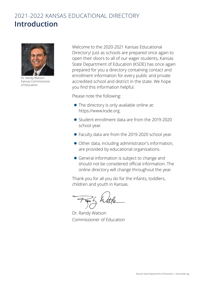## 2021-2022 KANSAS EDUCATIONAL DIRECTORY **Introduction**



Dr. Randy Watson Kansas Commissioner of Education

Welcome to the 2020-2021 Kansas Educational Directory! Just as schools are prepared once again to open their doors to all of our eager students, Kansas State Department of Education (KSDE) has once again prepared for you a directory containing contact and enrollment information for every public and private accredited school and district in the state. We hope you find this information helpful.

Please note the following:

- $\bullet$  The directory is only available online at: <https://www.ksde.org>.
- Student enrollment data are from the 2019-2020 school year.
- Faculty data are from the 2019-2020 school year.
- Other data, including administrator's information, are provided by educational organizations.
- General information is subject to change and should not be considered official information. The online directory will change throughout the year.

Thank you for all you do for the infants, toddlers, children and youth in Kansas.

Dr. Randy Watson Commissioner of Education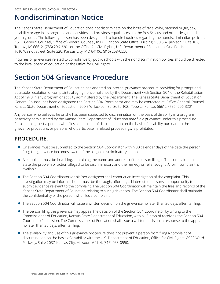## **Nondiscrimination Notice**

The Kansas State Department of Education does not discriminate on the basis of race, color, national origin, sex, disability or age in its programs and activities and provides equal access to the Boy Scouts and other designated youth groups. The following person has been designated to handle inquiries regarding the nondiscrimination policies: KSDE General Counsel, Office of General Counsel, KSDE, Landon State Office Building, 900 S.W. Jackson, Suite 102, Topeka, KS 66612, (785) 296-3201 or the Office for Civil Rights, U.S. Department of Education, One Petticoat Lane, 1010 Walnut Street, Suite 320, Kansas City, MO 64106, (816) 268-0550.

Inquiries or grievances related to compliance by public schools with the nondiscrimination policies should be directed to the local board of education or the Office for Civil Rights.

## **Section 504 Grievance Procedure**

The Kansas State Department of Education has adopted an internal grievance procedure providing for prompt and equitable resolution of complaints alleging noncompliance by the Department with Section 504 of the Rehabilitation Act of 1973 in any program or activity administered by the Department. The Kansas State Department of Education General Counsel has been designated the Section 504 Coordinator and may be contacted at: Office General Counsel, Kansas State Department of Education, 900 S.W. Jackson St., Suite 102, Topeka, Kansas 66612, (785) 296-3201.

Any person who believes he or she has been subjected to discrimination on the basis of disability in a program or activity administered by the Kansas State Department of Education may file a grievance under this procedure. Retaliation against a person who files a complaint of discrimination on the basis of disability pursuant to the grievance procedure, or persons who participate in related proceedings, is prohibited.

### **PROCEDURE:**

- **•** Grievances must be submitted to the Section 504 Coordinator within 30 calendar days of the date the person filing the grievance becomes aware of the alleged discriminatory action.
- A complaint must be in writing, containing the name and address of the person filing it. The complaint must state the problem or action alleged to be discriminatory and the remedy or relief sought. A form complaint is available.
- The Section 504 Coordinator (or his/her designee) shall conduct an investigation of the complaint. This investigation may be informal, but it must be thorough, affording all interested persons an opportunity to submit evidence relevant to the complaint. The Section 504 Coordinator will maintain the files and records of the Kansas State Department of Education relating to such grievances. The Section 504 Coordinator shall maintain the confidentiality of the person who files a complaint.
- The Section 504 Coordinator will issue a written decision on the grievance no later than 30 days after its filing.
- The person filing the grievance may appeal the decision of the Section 504 Coordinator by writing to the Commissioner of Education, Kansas State Department of Education, within 15 days of receiving the Section 504 Coordinator's decision. The Commissioner of Education shall issue a written decision in response to the appeal no later than 30 days after its filing.
- The availability and use of this grievance procedure does not prevent a person from filing a complaint of discrimination on the basis of disability with the U.S. Department of Education, Office for Civil Rights, 8930 Ward Parkway, Suite 2037, Kansas City, Missouri, 64114, (816) 268-0550.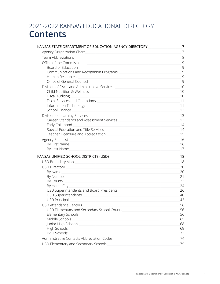## 2021-2022 KANSAS EDUCATIONAL DIRECTORY **Contents**

| KANSAS STATE DEPARTMENT OF EDUCATION AGENCY DIRECTORY | 7  |
|-------------------------------------------------------|----|
| Agency Organization Chart                             | 7  |
| <b>Team Abbreviations</b>                             | 8  |
| Office of the Commissioner                            | 9  |
| Board of Education                                    | 9  |
| Communications and Recognition Programs               | 9  |
| Human Resources                                       | 9  |
| Office of General Counsel                             | 9  |
| Division of Fiscal and Administrative Services        | 10 |
| Child Nutrition & Wellness                            | 10 |
| <b>Fiscal Auditing</b>                                | 10 |
| Fiscal Services and Operations                        | 11 |
| Information Technology                                | 11 |
| School Finance                                        | 12 |
| Division of Learning Services                         | 13 |
| Career, Standards and Assessment Services             | 13 |
| Early Childhood                                       | 14 |
| Special Education and Title Services                  | 14 |
| Teacher Licensure and Accreditation                   | 15 |
| Agency Staff List                                     | 16 |
| By First Name                                         | 16 |
| By Last Name                                          | 17 |
| KANSAS UNIFIED SCHOOL DISTRICTS (USD)                 | 18 |
| <b>USD Boundary Map</b>                               | 18 |
| <b>USD Directory</b>                                  | 20 |
| By Name                                               | 20 |
| By Number                                             | 21 |
| By County                                             | 22 |
| By Home City                                          | 24 |
| USD Superintendents and Board Presidents              | 26 |
| <b>USD Superintendents</b>                            | 40 |
| <b>USD Principals</b>                                 | 43 |
| <b>USD Attendance Centers</b>                         | 56 |
| USD Elementary and Secondary School Counts            | 56 |
| <b>Elementary Schools</b>                             | 56 |
| Middle Schools                                        | 65 |
| Junior High Schools                                   | 68 |
| High Schools                                          | 69 |
| K-12 Schools                                          | 73 |
| Administrative Contacts Abbreviation Codes            | 74 |
| USD Elementary and Secondary Schools                  | 75 |